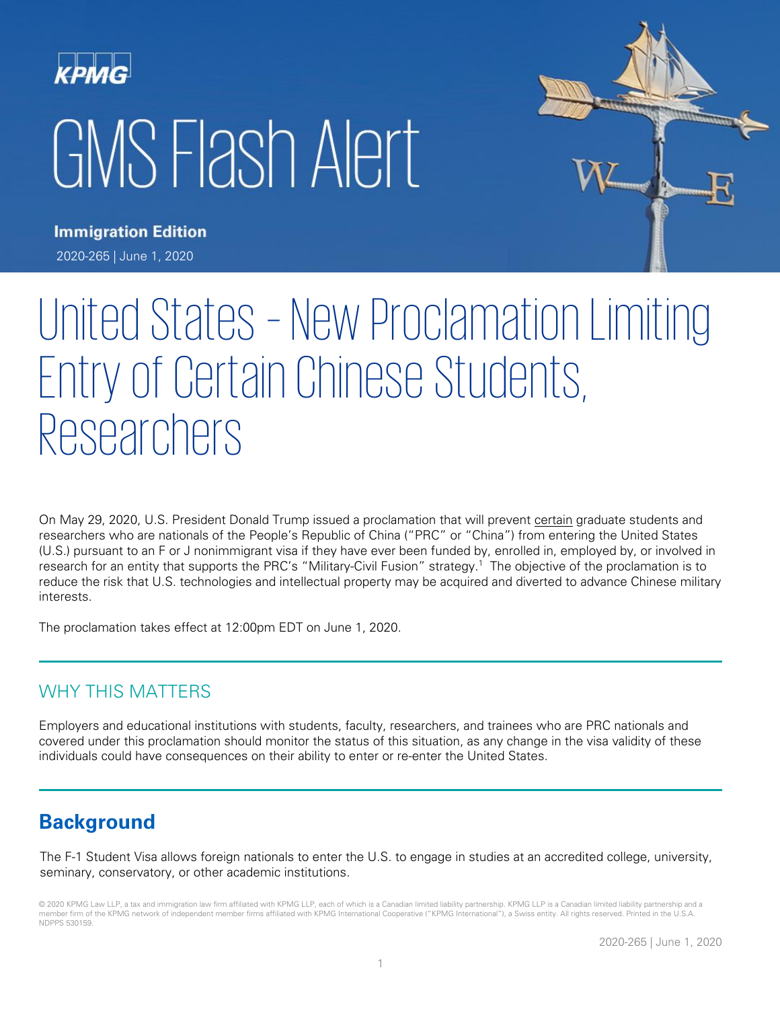# KPMG GMS Flash Alert



**Immigration Edition** 2020-265 | June 1, 2020

# United States – New Proclamation Limiting Entry of Certain Chinese Students, Researchers

On May 29, 2020, U.S. President Donald Trump issued a proclamation that will prevent certain graduate students and researchers who are nationals of the People's Republic of China ("PRC" or "China") from entering the United States (U.S.) pursuant to an F or J nonimmigrant visa if they have ever been funded by, enrolled in, employed by, or involved in research for an entity that supports the PRC's "Military-Civil Fusion" strategy.<sup>1</sup> The objective of the proclamation is to reduce the risk that U.S. technologies and intellectual property may be acquired and diverted to advance Chinese military interests.

The proclamation takes effect at 12:00pm EDT on June 1, 2020.

### WHY THIS MATTERS

Employers and educational institutions with students, faculty, researchers, and trainees who are PRC nationals and covered under this proclamation should monitor the status of this situation, as any change in the visa validity of these individuals could have consequences on their ability to enter or re-enter the United States.

# **Background**

The F-1 Student Visa allows foreign nationals to enter the U.S. to engage in studies at an accredited college, university, seminary, conservatory, or other academic institutions.

© 2020 KPMG Law LLP, a tax and immigration law firm affiliated with KPMG LLP, each of which is a Canadian limited liability partnership. KPMG LLP is a Canadian limited liability partnership and a member firm of the KPMG network of independent member firms affiliated with KPMG International Cooperative ("KPMG International"), a Swiss entity. All rights reserved. Printed in the U.S.A. NDPPS 530159.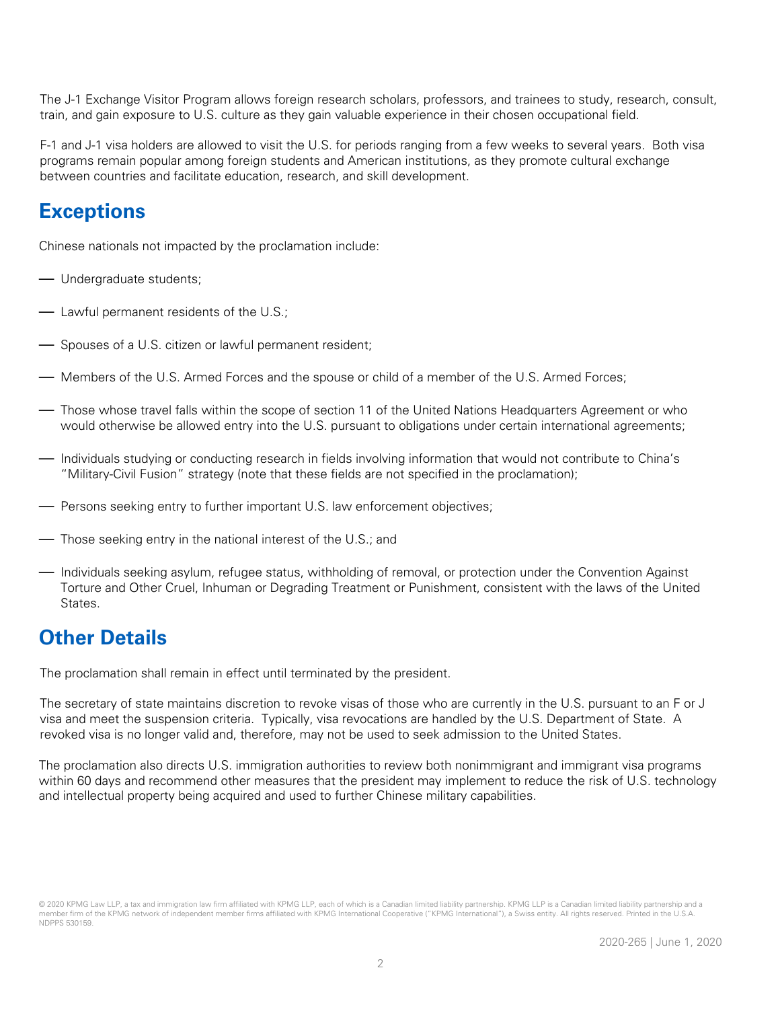The J-1 Exchange Visitor Program allows foreign research scholars, professors, and trainees to study, research, consult, train, and gain exposure to U.S. culture as they gain valuable experience in their chosen occupational field.

F-1 and J-1 visa holders are allowed to visit the U.S. for periods ranging from a few weeks to several years. Both visa programs remain popular among foreign students and American institutions, as they promote cultural exchange between countries and facilitate education, research, and skill development.

# **Exceptions**

Chinese nationals not impacted by the proclamation include:

- Undergraduate students;
- Lawful permanent residents of the U.S.;
- Spouses of a U.S. citizen or lawful permanent resident;
- Members of the U.S. Armed Forces and the spouse or child of a member of the U.S. Armed Forces;
- Those whose travel falls within the scope of section 11 of the United Nations Headquarters Agreement or who would otherwise be allowed entry into the U.S. pursuant to obligations under certain international agreements;
- Individuals studying or conducting research in fields involving information that would not contribute to China's "Military-Civil Fusion" strategy (note that these fields are not specified in the proclamation);
- Persons seeking entry to further important U.S. law enforcement objectives;
- Those seeking entry in the national interest of the U.S.; and
- Individuals seeking asylum, refugee status, withholding of removal, or protection under the Convention Against Torture and Other Cruel, Inhuman or Degrading Treatment or Punishment, consistent with the laws of the United States.

## **Other Details**

The proclamation shall remain in effect until terminated by the president.

The secretary of state maintains discretion to revoke visas of those who are currently in the U.S. pursuant to an F or J visa and meet the suspension criteria. Typically, visa revocations are handled by the U.S. Department of State. A revoked visa is no longer valid and, therefore, may not be used to seek admission to the United States.

The proclamation also directs U.S. immigration authorities to review both nonimmigrant and immigrant visa programs within 60 days and recommend other measures that the president may implement to reduce the risk of U.S. technology and intellectual property being acquired and used to further Chinese military capabilities.

<sup>© 2020</sup> KPMG Law LLP, a tax and immigration law firm affiliated with KPMG LLP, each of which is a Canadian limited liability partnership. KPMG LLP is a Canadian limited liability partnership and a member firm of the KPMG network of independent member firms affiliated with KPMG International Cooperative ("KPMG International"), a Swiss entity. All rights reserved. Printed in the U.S.A NDPPS 530159.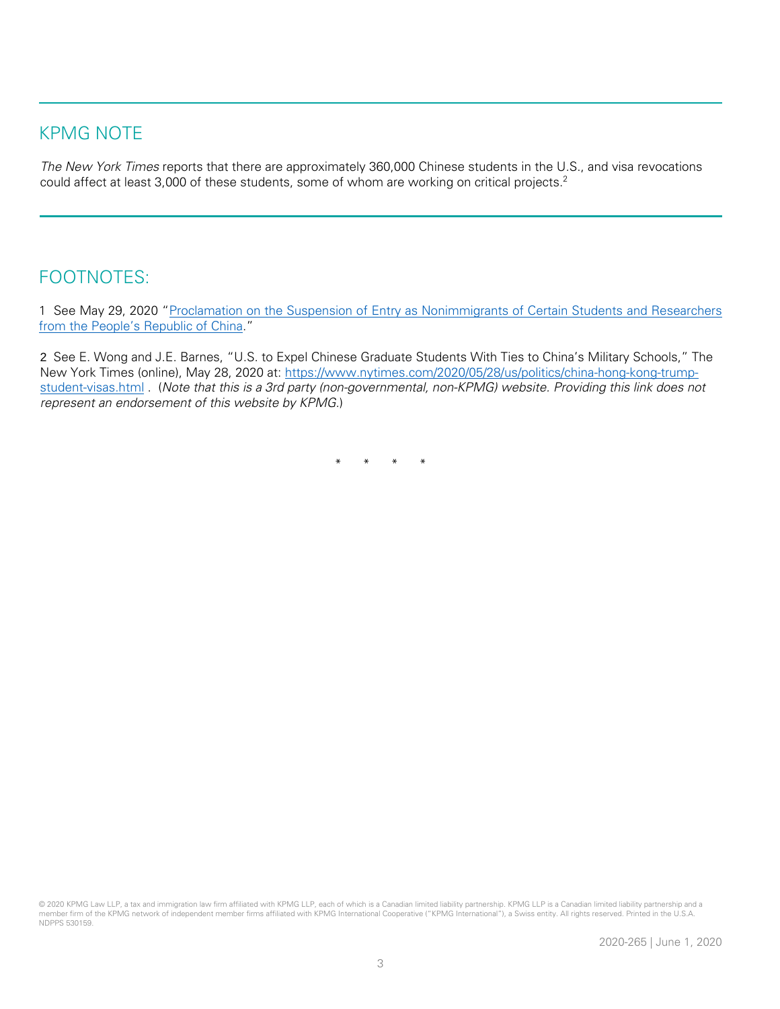#### KPMG NOTE

The New York Times reports that there are approximately 360,000 Chinese students in the U.S., and visa revocations could affect at least 3,000 of these students, some of whom are working on critical projects.<sup>2</sup>

#### FOOTNOTES:

1 See May 29, 2020 "[Proclamation on the Suspension of Entry as Nonimmigrants of Certain Students](https://www.whitehouse.gov/presidential-actions/proclamation-suspension-entry-nonimmigrants-certain-students-researchers-peoples-republic-china/) and Researchers [from the People's Republic of China.](https://www.whitehouse.gov/presidential-actions/proclamation-suspension-entry-nonimmigrants-certain-students-researchers-peoples-republic-china/)"

2 See E. Wong and J.E. Barnes, "U.S. to Expel Chinese Graduate Students With Ties to China's Military Schools," The New York Times (online), May 28, 2020 at: [https://www.nytimes.com/2020/05/28/us/politics/china-hong-kong-trump](https://www.nytimes.com/2020/05/28/us/politics/china-hong-kong-trump-student-visas.html)[student-visas.html](https://www.nytimes.com/2020/05/28/us/politics/china-hong-kong-trump-student-visas.html) . (Note that this is a 3rd party (non-governmental, non-KPMG) website. Providing this link does not represent an endorsement of this website by KPMG.)

\* \* \* \*

© 2020 KPMG Law LLP, a tax and immigration law firm affiliated with KPMG LLP, each of which is a Canadian limited liability partnership. KPMG LLP is a Canadian limited liability partnership and a member firm of the KPMG network of independent member firms affiliated with KPMG International Cooperative ("KPMG International"), a Swiss entity. All rights reserved. Printed in the U.S.A. NDPPS 530159.